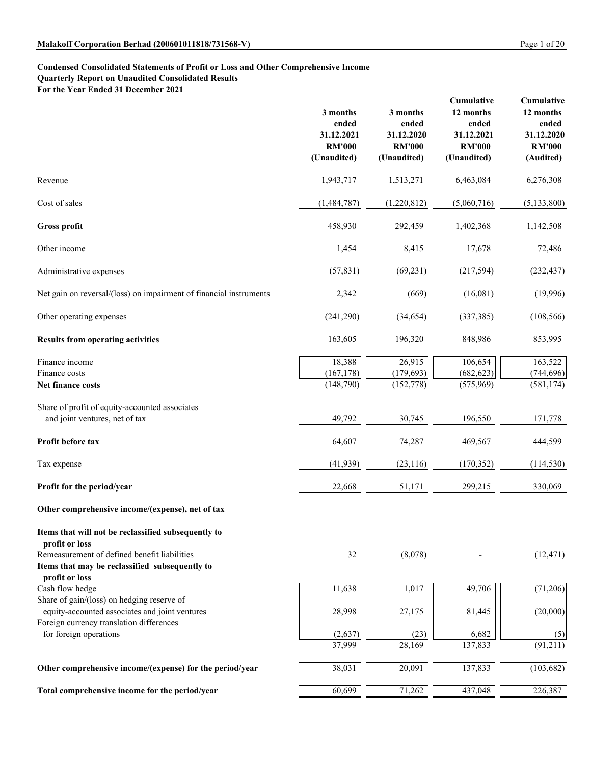#### **Condensed Consolidated Statements of Profit or Loss and Other Comprehensive Income**

**Quarterly Report on Unaudited Consolidated Results**

**For the Year Ended 31 December 2021**

|                                                                                                                                                                         | 3 months<br>ended<br>31.12.2021<br><b>RM'000</b><br>(Unaudited) | 3 months<br>ended<br>31.12.2020<br><b>RM'000</b><br>(Unaudited) | Cumulative<br>12 months<br>ended<br>31.12.2021<br><b>RM'000</b><br>(Unaudited) | Cumulative<br>12 months<br>ended<br>31.12.2020<br><b>RM'000</b><br>(Audited) |
|-------------------------------------------------------------------------------------------------------------------------------------------------------------------------|-----------------------------------------------------------------|-----------------------------------------------------------------|--------------------------------------------------------------------------------|------------------------------------------------------------------------------|
| Revenue                                                                                                                                                                 | 1,943,717                                                       | 1,513,271                                                       | 6,463,084                                                                      | 6,276,308                                                                    |
| Cost of sales                                                                                                                                                           | (1,484,787)                                                     | (1,220,812)                                                     | (5,060,716)                                                                    | (5, 133, 800)                                                                |
| <b>Gross profit</b>                                                                                                                                                     | 458,930                                                         | 292,459                                                         | 1,402,368                                                                      | 1,142,508                                                                    |
| Other income                                                                                                                                                            | 1,454                                                           | 8,415                                                           | 17,678                                                                         | 72,486                                                                       |
| Administrative expenses                                                                                                                                                 | (57, 831)                                                       | (69, 231)                                                       | (217, 594)                                                                     | (232, 437)                                                                   |
| Net gain on reversal/(loss) on impairment of financial instruments                                                                                                      | 2,342                                                           | (669)                                                           | (16,081)                                                                       | (19,996)                                                                     |
| Other operating expenses                                                                                                                                                | (241, 290)                                                      | (34, 654)                                                       | (337, 385)                                                                     | (108, 566)                                                                   |
| <b>Results from operating activities</b>                                                                                                                                | 163,605                                                         | 196,320                                                         | 848,986                                                                        | 853,995                                                                      |
| Finance income                                                                                                                                                          | 18,388                                                          | 26,915                                                          | 106,654                                                                        | 163,522                                                                      |
| Finance costs                                                                                                                                                           | (167, 178)                                                      | (179, 693)                                                      | (682, 623)                                                                     | (744, 696)                                                                   |
| <b>Net finance costs</b>                                                                                                                                                | (148,790)                                                       | (152, 778)                                                      | (575,969)                                                                      | (581, 174)                                                                   |
| Share of profit of equity-accounted associates<br>and joint ventures, net of tax                                                                                        | 49,792                                                          | 30,745                                                          | 196,550                                                                        | 171,778                                                                      |
| Profit before tax                                                                                                                                                       | 64,607                                                          | 74,287                                                          | 469,567                                                                        | 444,599                                                                      |
| Tax expense                                                                                                                                                             | (41,939)                                                        | (23, 116)                                                       | (170, 352)                                                                     | (114, 530)                                                                   |
| Profit for the period/year                                                                                                                                              | 22,668                                                          | 51,171                                                          | 299,215                                                                        | 330,069                                                                      |
| Other comprehensive income/(expense), net of tax                                                                                                                        |                                                                 |                                                                 |                                                                                |                                                                              |
| Items that will not be reclassified subsequently to<br>profit or loss<br>Remeasurement of defined benefit liabilities<br>Items that may be reclassified subsequently to | 32                                                              | (8,078)                                                         |                                                                                | (12, 471)                                                                    |
| profit or loss                                                                                                                                                          |                                                                 |                                                                 |                                                                                |                                                                              |
| Cash flow hedge<br>Share of gain/(loss) on hedging reserve of                                                                                                           | 11,638                                                          | 1,017                                                           | 49,706                                                                         | (71,206)                                                                     |
| equity-accounted associates and joint ventures                                                                                                                          | 28,998                                                          | 27,175                                                          | 81,445                                                                         | (20,000)                                                                     |
| Foreign currency translation differences                                                                                                                                |                                                                 |                                                                 |                                                                                |                                                                              |
| for foreign operations                                                                                                                                                  | (2,637)<br>37,999                                               | (23)<br>28,169                                                  | 6,682<br>137,833                                                               | (5)<br>(91,211)                                                              |
| Other comprehensive income/(expense) for the period/year                                                                                                                | 38,031                                                          | 20,091                                                          | 137,833                                                                        | (103, 682)                                                                   |
| Total comprehensive income for the period/year                                                                                                                          | 60,699                                                          | 71,262                                                          | 437,048                                                                        | 226,387                                                                      |
|                                                                                                                                                                         |                                                                 |                                                                 |                                                                                |                                                                              |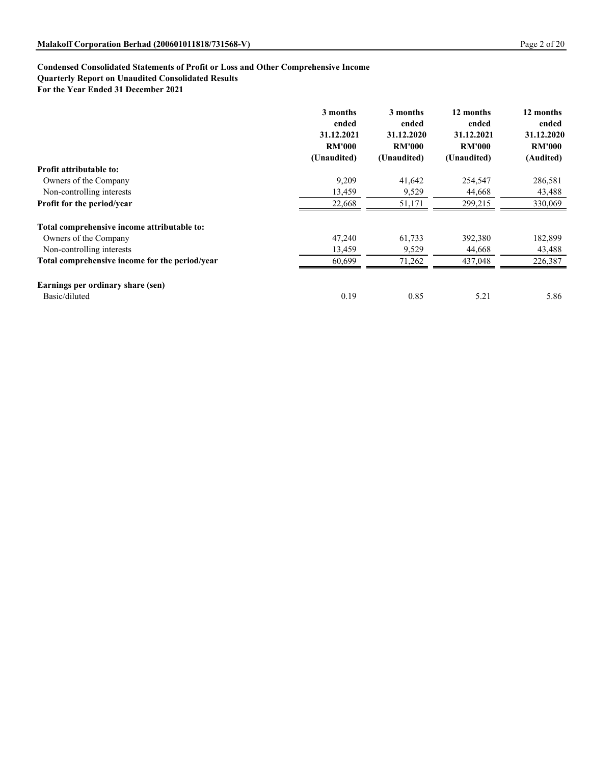#### **Condensed Consolidated Statements of Profit or Loss and Other Comprehensive Income**

**Quarterly Report on Unaudited Consolidated Results**

**For the Year Ended 31 December 2021**

|                                                | 3 months<br>ended<br>31.12.2021<br><b>RM'000</b><br>(Unaudited) | 3 months<br>ended<br>31.12.2020<br><b>RM'000</b><br>(Unaudited) | 12 months<br>ended<br>31.12.2021<br><b>RM'000</b><br>(Unaudited) | 12 months<br>ended<br>31.12.2020<br><b>RM'000</b><br>(Audited) |
|------------------------------------------------|-----------------------------------------------------------------|-----------------------------------------------------------------|------------------------------------------------------------------|----------------------------------------------------------------|
| Profit attributable to:                        |                                                                 |                                                                 |                                                                  |                                                                |
| Owners of the Company                          | 9,209                                                           | 41,642                                                          | 254,547                                                          | 286,581                                                        |
| Non-controlling interests                      | 13,459                                                          | 9,529                                                           | 44,668                                                           | 43,488                                                         |
| Profit for the period/year                     | 22,668                                                          | 51,171                                                          | 299,215                                                          | 330,069                                                        |
| Total comprehensive income attributable to:    |                                                                 |                                                                 |                                                                  |                                                                |
| Owners of the Company                          | 47,240                                                          | 61,733                                                          | 392,380                                                          | 182,899                                                        |
| Non-controlling interests                      | 13,459                                                          | 9,529                                                           | 44,668                                                           | 43,488                                                         |
| Total comprehensive income for the period/year | 60,699                                                          | 71,262                                                          | 437,048                                                          | 226,387                                                        |
| Earnings per ordinary share (sen)              |                                                                 |                                                                 |                                                                  |                                                                |
| Basic/diluted                                  | 0.19                                                            | 0.85                                                            | 5.21                                                             | 5.86                                                           |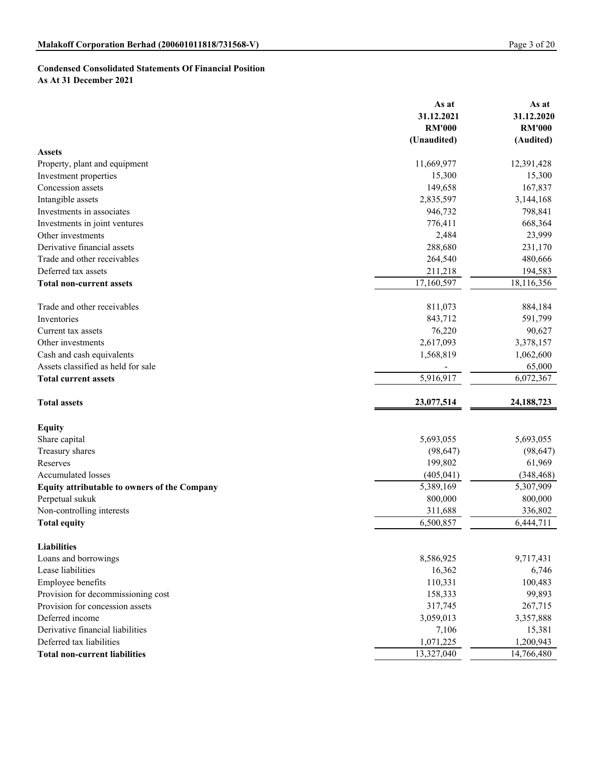# **Condensed Consolidated Statements Of Financial Position**

**As At 31 December 2021**

|                                              | As at         | As at         |
|----------------------------------------------|---------------|---------------|
|                                              | 31.12.2021    | 31.12.2020    |
|                                              | <b>RM'000</b> | <b>RM'000</b> |
|                                              | (Unaudited)   | (Audited)     |
| <b>Assets</b>                                |               |               |
| Property, plant and equipment                | 11,669,977    | 12,391,428    |
| Investment properties                        | 15,300        | 15,300        |
| Concession assets                            | 149,658       | 167,837       |
| Intangible assets                            | 2,835,597     | 3,144,168     |
| Investments in associates                    | 946,732       | 798,841       |
| Investments in joint ventures                | 776,411       | 668,364       |
| Other investments                            | 2,484         | 23,999        |
| Derivative financial assets                  | 288,680       | 231,170       |
| Trade and other receivables                  | 264,540       | 480,666       |
| Deferred tax assets                          | 211,218       | 194,583       |
| <b>Total non-current assets</b>              | 17,160,597    | 18,116,356    |
| Trade and other receivables                  | 811,073       | 884,184       |
| Inventories                                  | 843,712       | 591,799       |
| Current tax assets                           | 76,220        | 90,627        |
| Other investments                            | 2,617,093     | 3,378,157     |
| Cash and cash equivalents                    | 1,568,819     | 1,062,600     |
| Assets classified as held for sale           |               | 65,000        |
| <b>Total current assets</b>                  | 5,916,917     | 6,072,367     |
| <b>Total assets</b>                          | 23,077,514    | 24,188,723    |
| <b>Equity</b>                                |               |               |
| Share capital                                | 5,693,055     | 5,693,055     |
| Treasury shares                              | (98, 647)     | (98, 647)     |
| Reserves                                     | 199,802       | 61,969        |
| Accumulated losses                           | (405, 041)    | (348, 468)    |
| Equity attributable to owners of the Company | 5,389,169     | 5,307,909     |
| Perpetual sukuk                              | 800,000       | 800,000       |
| Non-controlling interests                    | 311,688       | 336,802       |
| <b>Total equity</b>                          | 6,500,857     | 6,444,711     |
| <b>Liabilities</b>                           |               |               |
| Loans and borrowings                         | 8,586,925     | 9,717,431     |
| Lease liabilities                            | 16,362        | 6,746         |
| Employee benefits                            | 110,331       | 100,483       |
| Provision for decommissioning cost           | 158,333       | 99,893        |
| Provision for concession assets              | 317,745       | 267,715       |
| Deferred income                              | 3,059,013     | 3,357,888     |
| Derivative financial liabilities             | 7,106         | 15,381        |
| Deferred tax liabilities                     | 1,071,225     | 1,200,943     |
| <b>Total non-current liabilities</b>         | 13,327,040    | 14,766,480    |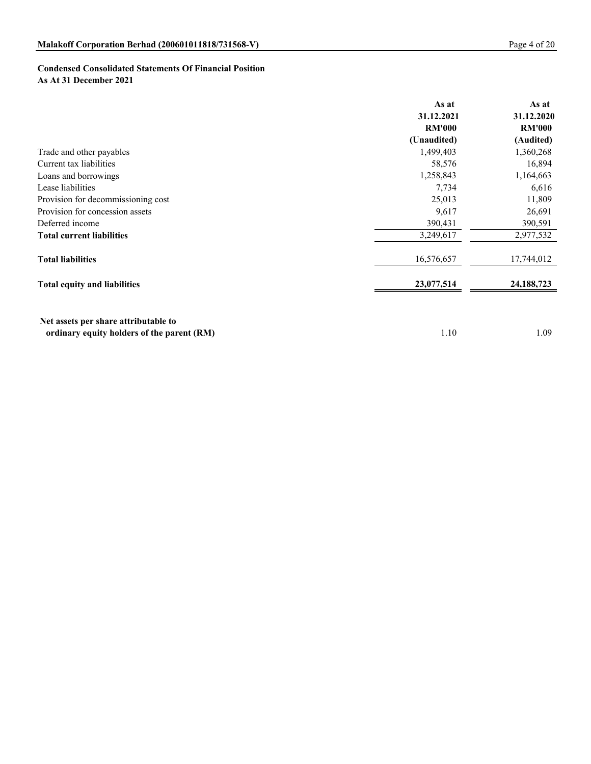# **Condensed Consolidated Statements Of Financial Position**

**As At 31 December 2021**

|                                            | As at         | As at         |
|--------------------------------------------|---------------|---------------|
|                                            | 31.12.2021    | 31.12.2020    |
|                                            | <b>RM'000</b> | <b>RM'000</b> |
|                                            | (Unaudited)   | (Audited)     |
| Trade and other payables                   | 1,499,403     | 1,360,268     |
| Current tax liabilities                    | 58,576        | 16,894        |
| Loans and borrowings                       | 1,258,843     | 1,164,663     |
| Lease liabilities                          | 7,734         | 6,616         |
| Provision for decommissioning cost         | 25,013        | 11,809        |
| Provision for concession assets            | 9,617         | 26,691        |
| Deferred income                            | 390,431       | 390,591       |
| <b>Total current liabilities</b>           | 3,249,617     | 2,977,532     |
| <b>Total liabilities</b>                   | 16,576,657    | 17,744,012    |
| <b>Total equity and liabilities</b>        | 23,077,514    | 24, 188, 723  |
|                                            |               |               |
| Net assets per share attributable to       |               |               |
| ordinary equity holders of the parent (RM) | 1.10          | 1.09          |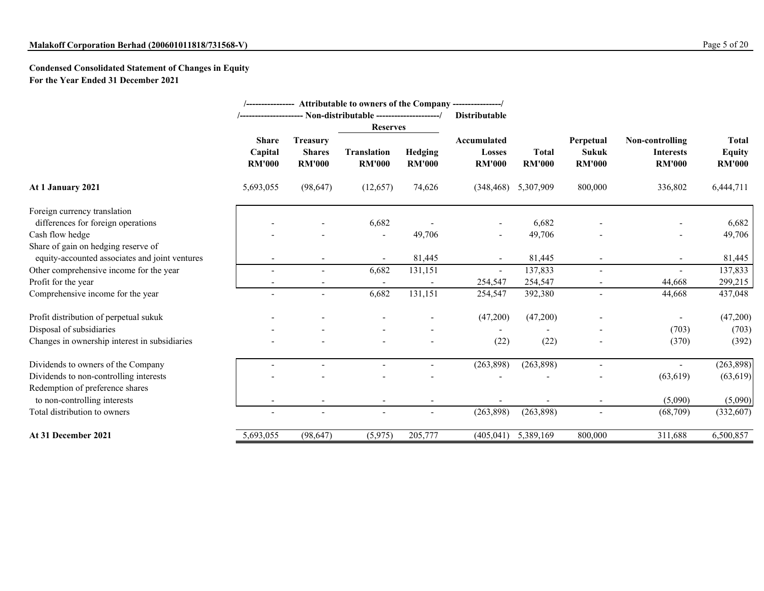#### **Malakoff Corporation Berhad (200601011818/731568-V)** Page 5 of 20

#### **Condensed Consolidated Statement of Changes in Equity For the Year Ended 31 December 2021**

|                                                | Attributable to owners of the Company -----------------/<br>Non-distributable ----------------------/<br><b>Distributable</b> |                                                   |                                     |                          |                                               |                               |                                            |                                                      |                                                |
|------------------------------------------------|-------------------------------------------------------------------------------------------------------------------------------|---------------------------------------------------|-------------------------------------|--------------------------|-----------------------------------------------|-------------------------------|--------------------------------------------|------------------------------------------------------|------------------------------------------------|
|                                                |                                                                                                                               |                                                   |                                     | <b>Reserves</b>          |                                               |                               |                                            |                                                      |                                                |
|                                                | <b>Share</b><br>Capital<br><b>RM'000</b>                                                                                      | <b>Treasury</b><br><b>Shares</b><br><b>RM'000</b> | <b>Translation</b><br><b>RM'000</b> | Hedging<br><b>RM'000</b> | Accumulated<br><b>Losses</b><br><b>RM'000</b> | <b>Total</b><br><b>RM'000</b> | Perpetual<br><b>Sukuk</b><br><b>RM'000</b> | Non-controlling<br><b>Interests</b><br><b>RM'000</b> | <b>Total</b><br><b>Equity</b><br><b>RM'000</b> |
| At 1 January 2021                              | 5,693,055                                                                                                                     | (98, 647)                                         | (12,657)                            | 74,626                   | (348, 468)                                    | 5,307,909                     | 800,000                                    | 336,802                                              | 6,444,711                                      |
| Foreign currency translation                   |                                                                                                                               |                                                   |                                     |                          |                                               |                               |                                            |                                                      |                                                |
| differences for foreign operations             |                                                                                                                               |                                                   | 6,682                               |                          |                                               | 6,682                         |                                            |                                                      | 6,682                                          |
| Cash flow hedge                                |                                                                                                                               |                                                   | $\overline{\phantom{a}}$            | 49,706                   |                                               | 49,706                        |                                            |                                                      | 49,706                                         |
| Share of gain on hedging reserve of            |                                                                                                                               |                                                   |                                     |                          |                                               |                               |                                            |                                                      |                                                |
| equity-accounted associates and joint ventures |                                                                                                                               |                                                   |                                     | 81,445                   | $\overline{\phantom{a}}$                      | 81,445                        | $\overline{\phantom{a}}$                   |                                                      | 81,445                                         |
| Other comprehensive income for the year        |                                                                                                                               |                                                   | 6,682                               | 131,151                  | $\blacksquare$                                | 137,833                       |                                            | $\overline{\phantom{a}}$                             | 137,833                                        |
| Profit for the year                            |                                                                                                                               |                                                   |                                     |                          | 254,547                                       | 254,547                       |                                            | 44,668                                               | 299,215                                        |
| Comprehensive income for the year              |                                                                                                                               |                                                   | 6,682                               | 131,151                  | 254,547                                       | 392,380                       |                                            | 44,668                                               | 437,048                                        |
| Profit distribution of perpetual sukuk         |                                                                                                                               |                                                   |                                     |                          | (47,200)                                      | (47,200)                      |                                            |                                                      | (47,200)                                       |
| Disposal of subsidiaries                       |                                                                                                                               |                                                   |                                     |                          |                                               |                               |                                            | (703)                                                | (703)                                          |
| Changes in ownership interest in subsidiaries  |                                                                                                                               |                                                   |                                     |                          | (22)                                          | (22)                          |                                            | (370)                                                | (392)                                          |
| Dividends to owners of the Company             |                                                                                                                               |                                                   |                                     |                          | (263, 898)                                    | (263, 898)                    |                                            |                                                      | (263, 898)                                     |
| Dividends to non-controlling interests         |                                                                                                                               |                                                   |                                     |                          |                                               |                               |                                            | (63, 619)                                            | (63, 619)                                      |
| Redemption of preference shares                |                                                                                                                               |                                                   |                                     |                          |                                               |                               |                                            |                                                      |                                                |
| to non-controlling interests                   |                                                                                                                               |                                                   |                                     |                          |                                               |                               |                                            | (5,090)                                              | (5,090)                                        |
| Total distribution to owners                   |                                                                                                                               |                                                   | $\overline{\phantom{a}}$            |                          | (263, 898)                                    | (263, 898)                    |                                            | (68,709)                                             | (332,607)                                      |
| At 31 December 2021                            | 5,693,055                                                                                                                     | (98, 647)                                         | (5,975)                             | 205,777                  | (405, 041)                                    | 5,389,169                     | 800,000                                    | 311,688                                              | 6,500,857                                      |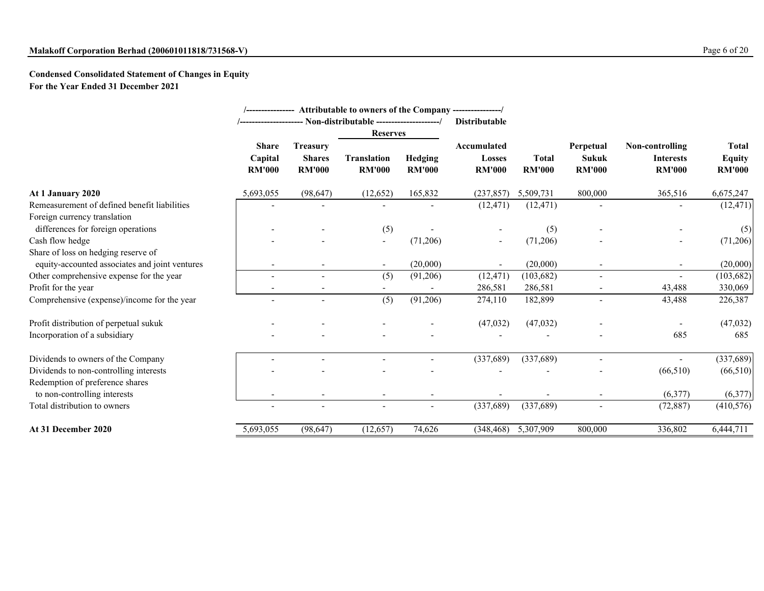#### **Malakoff Corporation Berhad (200601011818/731568-V)** Page 6 of 20

#### **Condensed Consolidated Statement of Changes in Equity For the Year Ended 31 December 2021**

|                                                                                       |                                          |                                                   | Attributable to owners of the Company ----------------/        |                          |                                        |                               |                                            |                                                      |                                                |
|---------------------------------------------------------------------------------------|------------------------------------------|---------------------------------------------------|----------------------------------------------------------------|--------------------------|----------------------------------------|-------------------------------|--------------------------------------------|------------------------------------------------------|------------------------------------------------|
|                                                                                       |                                          |                                                   | -- Non-distributable ---------------------/<br><b>Reserves</b> |                          | <b>Distributable</b>                   |                               |                                            |                                                      |                                                |
|                                                                                       | <b>Share</b><br>Capital<br><b>RM'000</b> | <b>Treasury</b><br><b>Shares</b><br><b>RM'000</b> | <b>Translation</b><br><b>RM'000</b>                            | Hedging<br><b>RM'000</b> | Accumulated<br>Losses<br><b>RM'000</b> | <b>Total</b><br><b>RM'000</b> | Perpetual<br><b>Sukuk</b><br><b>RM'000</b> | Non-controlling<br><b>Interests</b><br><b>RM'000</b> | <b>Total</b><br><b>Equity</b><br><b>RM'000</b> |
| At 1 January 2020                                                                     | 5,693,055                                | (98, 647)                                         | (12, 652)                                                      | 165,832                  | (237, 857)                             | 5,509,731                     | 800,000                                    | 365,516                                              | 6,675,247                                      |
| Remeasurement of defined benefit liabilities<br>Foreign currency translation          |                                          |                                                   |                                                                |                          | (12, 471)                              | (12, 471)                     |                                            |                                                      | (12, 471)                                      |
| differences for foreign operations                                                    |                                          |                                                   | (5)                                                            |                          |                                        | (5)                           |                                            |                                                      | (5)                                            |
| Cash flow hedge                                                                       |                                          |                                                   | $\blacksquare$                                                 | (71,206)                 | $\overline{\phantom{a}}$               | (71,206)                      |                                            |                                                      | (71,206)                                       |
| Share of loss on hedging reserve of<br>equity-accounted associates and joint ventures |                                          |                                                   |                                                                | (20,000)                 |                                        | (20,000)                      |                                            |                                                      | (20,000)                                       |
| Other comprehensive expense for the year                                              |                                          |                                                   | (5)                                                            | (91,206)                 | (12, 471)                              | (103, 682)                    |                                            |                                                      | (103, 682)                                     |
| Profit for the year                                                                   |                                          |                                                   |                                                                |                          | 286,581                                | 286,581                       |                                            | 43,488                                               | 330,069                                        |
| Comprehensive (expense)/income for the year                                           |                                          |                                                   | (5)                                                            | (91,206)                 | 274,110                                | 182,899                       |                                            | 43,488                                               | 226,387                                        |
| Profit distribution of perpetual sukuk                                                |                                          |                                                   |                                                                |                          | (47, 032)                              | (47, 032)                     |                                            |                                                      | (47, 032)                                      |
| Incorporation of a subsidiary                                                         |                                          |                                                   |                                                                |                          |                                        |                               |                                            | 685                                                  | 685                                            |
| Dividends to owners of the Company                                                    |                                          |                                                   |                                                                |                          | (337, 689)                             | (337, 689)                    |                                            | $\blacksquare$                                       | (337, 689)                                     |
| Dividends to non-controlling interests                                                |                                          |                                                   |                                                                |                          |                                        |                               |                                            | (66, 510)                                            | (66, 510)                                      |
| Redemption of preference shares<br>to non-controlling interests                       |                                          |                                                   |                                                                |                          |                                        |                               |                                            | (6,377)                                              | (6,377)                                        |
| Total distribution to owners                                                          |                                          |                                                   |                                                                |                          | (337, 689)                             | (337, 689)                    |                                            | (72, 887)                                            | (410, 576)                                     |
| At 31 December 2020                                                                   | 5,693,055                                | (98, 647)                                         | (12, 657)                                                      | 74,626                   | (348, 468)                             | 5,307,909                     | 800,000                                    | 336,802                                              | 6,444,711                                      |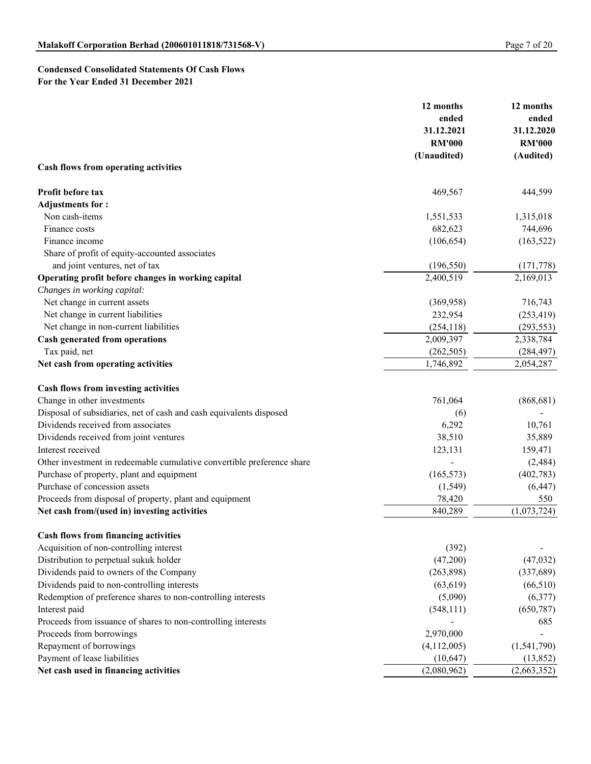#### **Condensed Consolidated Statements Of Cash Flows For the Year Ended 31 December 2021**

|                                                                        | 12 months     | 12 months                |
|------------------------------------------------------------------------|---------------|--------------------------|
|                                                                        | ended         | ended                    |
|                                                                        | 31.12.2021    | 31.12.2020               |
|                                                                        | <b>RM'000</b> | <b>RM'000</b>            |
|                                                                        | (Unaudited)   | (Audited)                |
| Cash flows from operating activities                                   |               |                          |
| Profit before tax                                                      | 469,567       | 444,599                  |
| <b>Adjustments for:</b>                                                |               |                          |
| Non cash-items                                                         | 1,551,533     | 1,315,018                |
| Finance costs                                                          | 682,623       | 744,696                  |
| Finance income                                                         | (106, 654)    | (163, 522)               |
| Share of profit of equity-accounted associates                         |               |                          |
| and joint ventures, net of tax                                         | (196, 550)    | (171, 778)               |
| Operating profit before changes in working capital                     | 2,400,519     | 2,169,013                |
| Changes in working capital:                                            |               |                          |
| Net change in current assets                                           | (369, 958)    | 716,743                  |
| Net change in current liabilities                                      | 232,954       | (253, 419)               |
| Net change in non-current liabilities                                  | (254, 118)    | (293, 553)               |
| <b>Cash generated from operations</b>                                  | 2,009,397     | 2,338,784                |
| Tax paid, net                                                          | (262, 505)    | (284, 497)               |
| Net cash from operating activities                                     | 1,746,892     | 2,054,287                |
| Cash flows from investing activities                                   |               |                          |
| Change in other investments                                            | 761,064       | (868, 681)               |
| Disposal of subsidiaries, net of cash and cash equivalents disposed    | (6)           |                          |
| Dividends received from associates                                     | 6,292         | 10,761                   |
| Dividends received from joint ventures                                 | 38,510        | 35,889                   |
| Interest received                                                      | 123,131       | 159,471                  |
| Other investment in redeemable cumulative convertible preference share |               | (2,484)                  |
| Purchase of property, plant and equipment                              | (165, 573)    | (402, 783)               |
| Purchase of concession assets                                          | (1, 549)      | (6, 447)                 |
| Proceeds from disposal of property, plant and equipment                | 78,420        | 550                      |
| Net cash from/(used in) investing activities                           | 840,289       | $\overline{(1,073,724)}$ |
| <b>Cash flows from financing activities</b>                            |               |                          |
| Acquisition of non-controlling interest                                | (392)         |                          |
| Distribution to perpetual sukuk holder                                 | (47,200)      | (47, 032)                |
| Dividends paid to owners of the Company                                | (263,898)     | (337,689)                |
| Dividends paid to non-controlling interests                            | (63, 619)     | (66, 510)                |
| Redemption of preference shares to non-controlling interests           | (5,090)       | (6,377)                  |
| Interest paid                                                          | (548, 111)    | (650, 787)               |
| Proceeds from issuance of shares to non-controlling interests          |               | 685                      |
| Proceeds from borrowings                                               | 2,970,000     |                          |
| Repayment of borrowings                                                | (4,112,005)   | (1,541,790)              |
| Payment of lease liabilities                                           | (10, 647)     | (13, 852)                |
| Net cash used in financing activities                                  | (2,080,962)   | (2,663,352)              |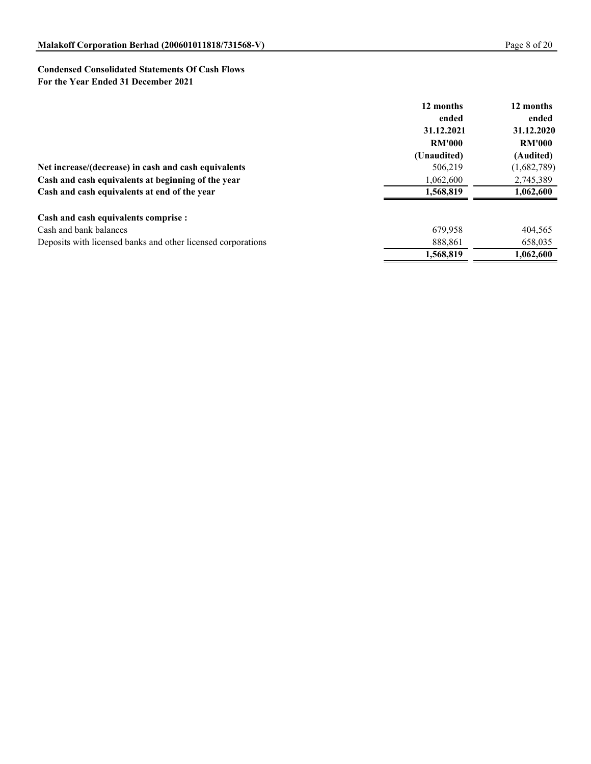#### **Condensed Consolidated Statements Of Cash Flows For the Year Ended 31 December 2021**

|                                                              | 12 months     | 12 months     |
|--------------------------------------------------------------|---------------|---------------|
|                                                              | ended         | ended         |
|                                                              | 31.12.2021    | 31.12.2020    |
|                                                              | <b>RM'000</b> | <b>RM'000</b> |
|                                                              | (Unaudited)   | (Audited)     |
| Net increase/(decrease) in cash and cash equivalents         | 506,219       | (1,682,789)   |
| Cash and cash equivalents at beginning of the year           | 1,062,600     | 2,745,389     |
| Cash and cash equivalents at end of the year                 | 1.568.819     | 1,062,600     |
| Cash and cash equivalents comprise :                         |               |               |
| Cash and bank balances                                       | 679,958       | 404,565       |
| Deposits with licensed banks and other licensed corporations | 888,861       | 658,035       |
|                                                              | 1,568,819     | 1.062.600     |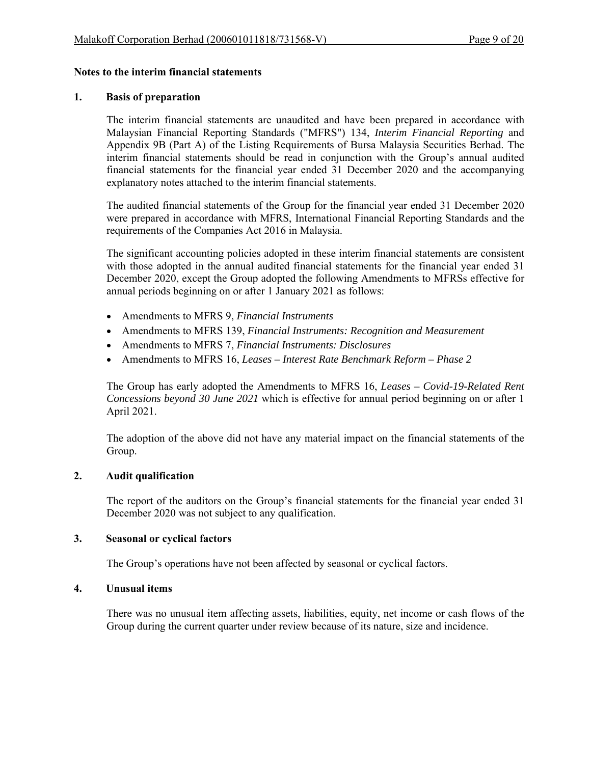#### **Notes to the interim financial statements**

#### **1. Basis of preparation**

The interim financial statements are unaudited and have been prepared in accordance with Malaysian Financial Reporting Standards ("MFRS") 134, *Interim Financial Reporting* and Appendix 9B (Part A) of the Listing Requirements of Bursa Malaysia Securities Berhad. The interim financial statements should be read in conjunction with the Group's annual audited financial statements for the financial year ended 31 December 2020 and the accompanying explanatory notes attached to the interim financial statements.

The audited financial statements of the Group for the financial year ended 31 December 2020 were prepared in accordance with MFRS, International Financial Reporting Standards and the requirements of the Companies Act 2016 in Malaysia.

The significant accounting policies adopted in these interim financial statements are consistent with those adopted in the annual audited financial statements for the financial year ended 31 December 2020, except the Group adopted the following Amendments to MFRSs effective for annual periods beginning on or after 1 January 2021 as follows:

- Amendments to MFRS 9, *Financial Instruments*
- Amendments to MFRS 139, *Financial Instruments: Recognition and Measurement*
- Amendments to MFRS 7, *Financial Instruments: Disclosures*
- Amendments to MFRS 16, *Leases Interest Rate Benchmark Reform Phase 2*

The Group has early adopted the Amendments to MFRS 16, *Leases – Covid-19-Related Rent Concessions beyond 30 June 2021* which is effective for annual period beginning on or after 1 April 2021.

The adoption of the above did not have any material impact on the financial statements of the Group.

#### **2. Audit qualification**

The report of the auditors on the Group's financial statements for the financial year ended 31 December 2020 was not subject to any qualification.

#### **3. Seasonal or cyclical factors**

The Group's operations have not been affected by seasonal or cyclical factors.

#### **4. Unusual items**

 There was no unusual item affecting assets, liabilities, equity, net income or cash flows of the Group during the current quarter under review because of its nature, size and incidence.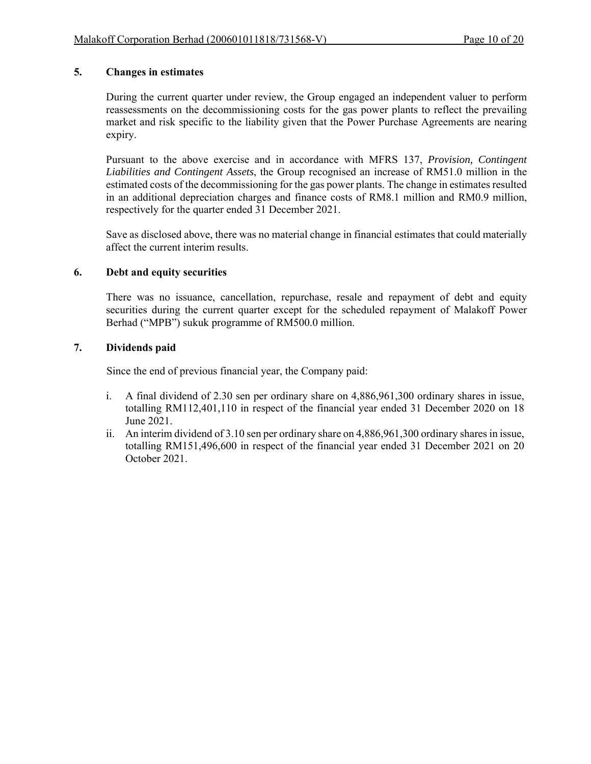#### **5. Changes in estimates**

During the current quarter under review, the Group engaged an independent valuer to perform reassessments on the decommissioning costs for the gas power plants to reflect the prevailing market and risk specific to the liability given that the Power Purchase Agreements are nearing expiry.

Pursuant to the above exercise and in accordance with MFRS 137, *Provision, Contingent Liabilities and Contingent Assets*, the Group recognised an increase of RM51.0 million in the estimated costs of the decommissioning for the gas power plants. The change in estimates resulted in an additional depreciation charges and finance costs of RM8.1 million and RM0.9 million, respectively for the quarter ended 31 December 2021.

Save as disclosed above, there was no material change in financial estimates that could materially affect the current interim results.

#### **6. Debt and equity securities**

There was no issuance, cancellation, repurchase, resale and repayment of debt and equity securities during the current quarter except for the scheduled repayment of Malakoff Power Berhad ("MPB") sukuk programme of RM500.0 million.

#### **7. Dividends paid**

Since the end of previous financial year, the Company paid:

- i. A final dividend of 2.30 sen per ordinary share on 4,886,961,300 ordinary shares in issue, totalling RM112,401,110 in respect of the financial year ended 31 December 2020 on 18 June 2021.
- ii. An interim dividend of 3.10 sen per ordinary share on 4,886,961,300 ordinary shares in issue, totalling RM151,496,600 in respect of the financial year ended 31 December 2021 on 20 October 2021.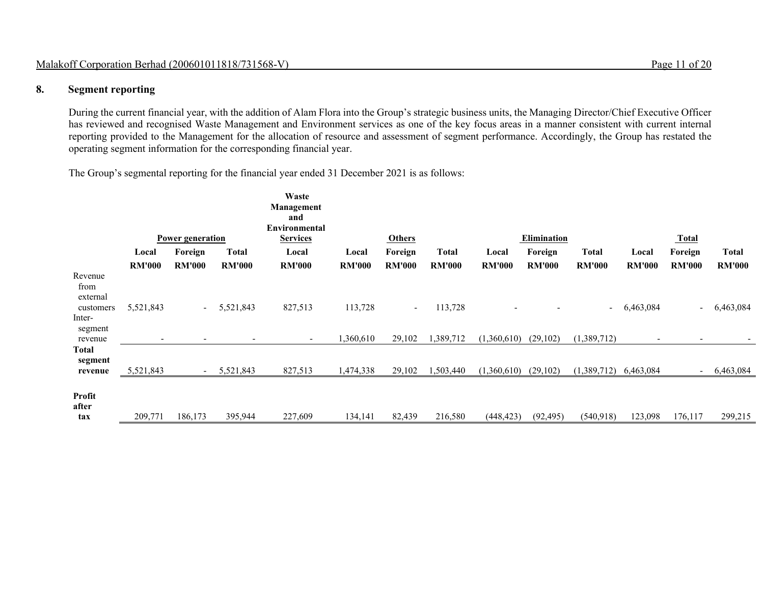#### **8.Segment reporting**

During the current financial year, with the addition of Alam Flora into the Group's strategic business units, the Managing Director/Chief Executive Officer has reviewed and recognised Waste Management and Environment services as one of the key focus areas in a manner consistent with current internal reporting provided to the Management for the allocation of resource and assessment of segment performance. Accordingly, the Group has restated the operating segment information for the corresponding financial year.

The Group's segmental reporting for the financial year ended 31 December 2021 is as follows:

|                                                               |               | Power generation         |               | Waste<br><b>Management</b><br>and<br><b>Environmental</b><br><b>Services</b> |               | <b>Others</b> |               |               | Elimination   |               |                          | Total                    |               |
|---------------------------------------------------------------|---------------|--------------------------|---------------|------------------------------------------------------------------------------|---------------|---------------|---------------|---------------|---------------|---------------|--------------------------|--------------------------|---------------|
|                                                               | Local         | Foreign                  | <b>Total</b>  | Local                                                                        | Local         | Foreign       | <b>Total</b>  | Local         | Foreign       | <b>Total</b>  | Local                    | Foreign                  | <b>Total</b>  |
|                                                               | <b>RM'000</b> | <b>RM'000</b>            | <b>RM'000</b> | <b>RM'000</b>                                                                | <b>RM'000</b> | <b>RM'000</b> | <b>RM'000</b> | <b>RM'000</b> | <b>RM'000</b> | <b>RM'000</b> | <b>RM'000</b>            | <b>RM'000</b>            | <b>RM'000</b> |
| Revenue<br>from<br>external<br>customers<br>Inter-<br>segment | 5,521,843     | $\sim$                   | 5,521,843     | 827,513                                                                      | 113,728       | $\sim$        | 113,728       |               |               | $\sim$        | 6,463,084                | $\overline{\phantom{a}}$ | 6,463,084     |
| revenue                                                       |               | $\overline{\phantom{0}}$ |               | $\sim$                                                                       | ,360,610      | 29,102        | ,389,712      | (1,360,610)   | (29, 102)     | (1,389,712)   | $\overline{\phantom{a}}$ |                          |               |
| Total<br>segment<br>revenue                                   | 5,521,843     |                          | 5,521,843     | 827,513                                                                      | 1,474,338     | 29,102        | 1,503,440     | (1,360,610)   | (29,102)      | (1,389,712)   | 6,463,084                |                          | 6,463,084     |
| Profit<br>after<br>tax                                        | 209,771       | 186,173                  | 395,944       | 227,609                                                                      | 134,141       | 82,439        | 216,580       | (448, 423)    | (92, 495)     | (540, 918)    | 123,098                  | 176,117                  | 299,215       |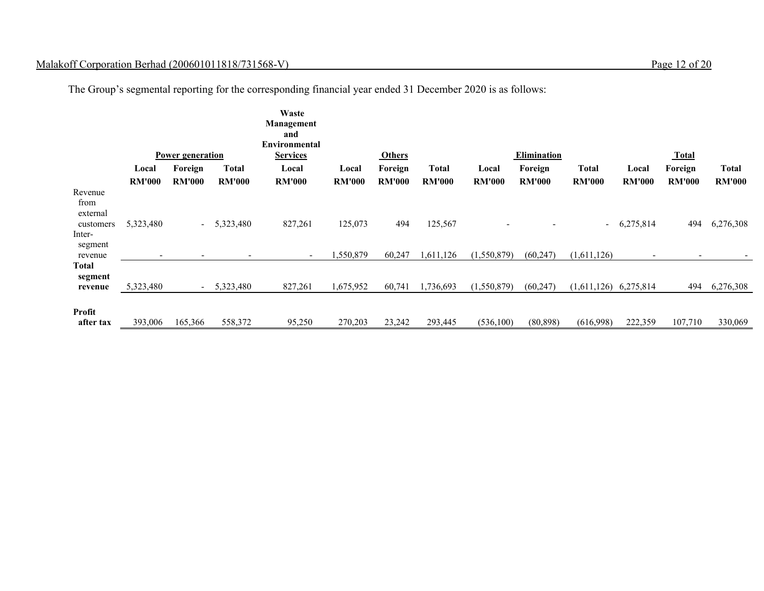# Malakoff Corporation Berhad (200601011818/731568-V) Page 12 of 20

The Group's segmental reporting for the corresponding financial year ended 31 December 2020 is as follows:

|                                                               |               |                          |               | Waste<br>Management<br>and<br>Environmental<br><b>Services</b> |               |               |               |               | <b>Elimination</b> |                          |                          |                          |               |
|---------------------------------------------------------------|---------------|--------------------------|---------------|----------------------------------------------------------------|---------------|---------------|---------------|---------------|--------------------|--------------------------|--------------------------|--------------------------|---------------|
|                                                               |               | Power generation         |               |                                                                |               | <b>Others</b> |               |               |                    |                          |                          | <b>Total</b>             |               |
|                                                               | Local         | Foreign                  | Total         | Local                                                          | Local         | Foreign       | Total         | Local         | Foreign            | <b>Total</b>             | Local                    | Foreign                  | <b>Total</b>  |
|                                                               | <b>RM'000</b> | <b>RM'000</b>            | <b>RM'000</b> | <b>RM'000</b>                                                  | <b>RM'000</b> | <b>RM'000</b> | <b>RM'000</b> | <b>RM'000</b> | <b>RM'000</b>      | <b>RM'000</b>            | <b>RM'000</b>            | <b>RM'000</b>            | <b>RM'000</b> |
| Revenue<br>from<br>external<br>customers<br>Inter-<br>segment | 5,323,480     | $\overline{\phantom{a}}$ | 5,323,480     | 827,261                                                        | 125,073       | 494           | 125,567       |               |                    | $\overline{\phantom{0}}$ | 6,275,814                | 494                      | 6,276,308     |
| revenue                                                       |               | $\overline{\phantom{a}}$ |               | $\sim$                                                         | 1,550,879     | 60,247        | 1,611,126     | (1,550,879)   | (60, 247)          | (1,611,126)              | $\overline{\phantom{a}}$ | $\overline{\phantom{a}}$ |               |
| Total<br>segment<br>revenue                                   | 5,323,480     | $\sim$                   | 5,323,480     | 827,261                                                        | 1,675,952     | 60,741        | 1,736,693     | (1,550,879)   | (60,247)           | (1,611,126)              | 6,275,814                | 494                      | 6,276,308     |
| Profit<br>after tax                                           | 393,006       | 165,366                  | 558,372       | 95,250                                                         | 270,203       | 23,242        | 293,445       | (536,100)     | (80, 898)          | (616,998)                | 222,359                  | 107,710                  | 330,069       |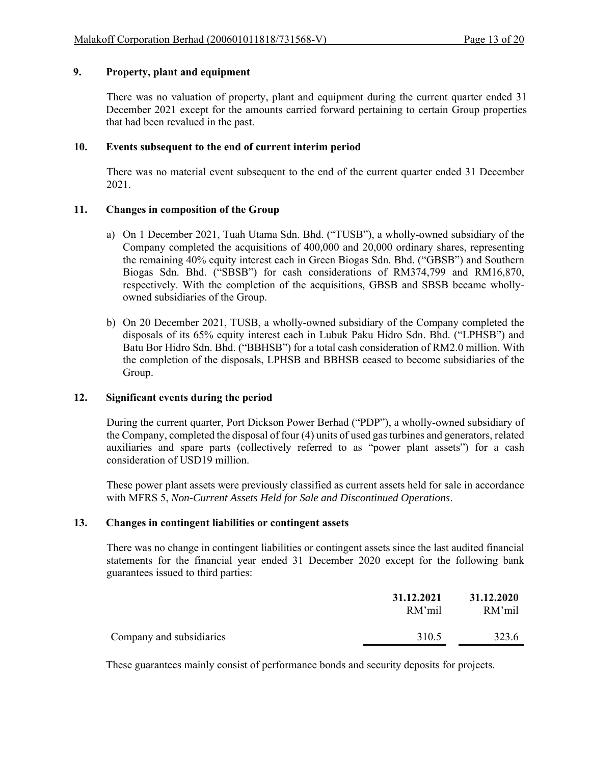### **9. Property, plant and equipment**

 There was no valuation of property, plant and equipment during the current quarter ended 31 December 2021 except for the amounts carried forward pertaining to certain Group properties that had been revalued in the past.

#### **10. Events subsequent to the end of current interim period**

There was no material event subsequent to the end of the current quarter ended 31 December 2021.

#### **11. Changes in composition of the Group**

- a) On 1 December 2021, Tuah Utama Sdn. Bhd. ("TUSB"), a wholly-owned subsidiary of the Company completed the acquisitions of 400,000 and 20,000 ordinary shares, representing the remaining 40% equity interest each in Green Biogas Sdn. Bhd. ("GBSB") and Southern Biogas Sdn. Bhd. ("SBSB") for cash considerations of RM374,799 and RM16,870, respectively. With the completion of the acquisitions, GBSB and SBSB became whollyowned subsidiaries of the Group.
- b) On 20 December 2021, TUSB, a wholly-owned subsidiary of the Company completed the disposals of its 65% equity interest each in Lubuk Paku Hidro Sdn. Bhd. ("LPHSB") and Batu Bor Hidro Sdn. Bhd. ("BBHSB") for a total cash consideration of RM2.0 million. With the completion of the disposals, LPHSB and BBHSB ceased to become subsidiaries of the Group.

#### **12. Significant events during the period**

During the current quarter, Port Dickson Power Berhad ("PDP"), a wholly-owned subsidiary of the Company, completed the disposal of four (4) units of used gas turbines and generators, related auxiliaries and spare parts (collectively referred to as "power plant assets") for a cash consideration of USD19 million.

These power plant assets were previously classified as current assets held for sale in accordance with MFRS 5, *Non-Current Assets Held for Sale and Discontinued Operations*.

#### **13. Changes in contingent liabilities or contingent assets**

There was no change in contingent liabilities or contingent assets since the last audited financial statements for the financial year ended 31 December 2020 except for the following bank guarantees issued to third parties:

|                          | 31.12.2021<br>RM'mil | 31.12.2020<br>RM'mil |
|--------------------------|----------------------|----------------------|
| Company and subsidiaries | 310.5                | 323.6                |

These guarantees mainly consist of performance bonds and security deposits for projects.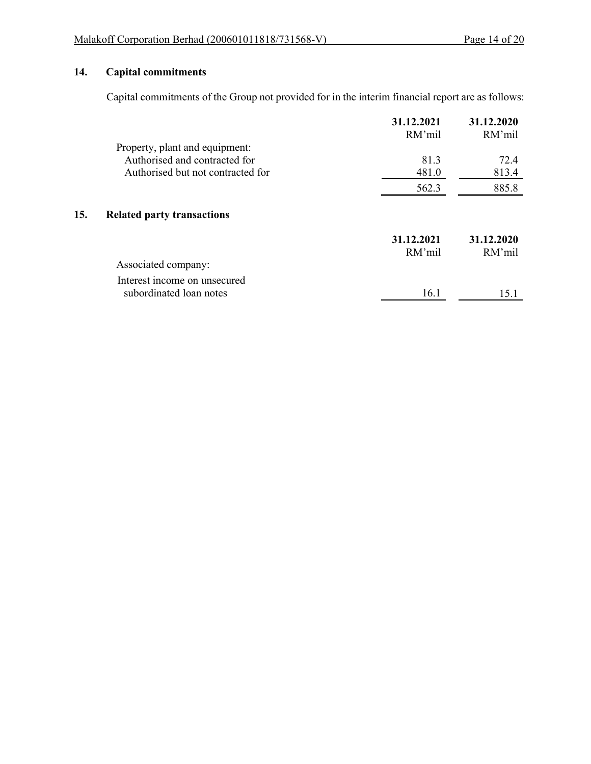# **14. Capital commitments**

 $15.$ 

Capital commitments of the Group not provided for in the interim financial report are as follows:

|                                   | 31.12.2021<br>RM'mil | 31.12.2020<br>RM'mil |
|-----------------------------------|----------------------|----------------------|
| Property, plant and equipment:    |                      |                      |
| Authorised and contracted for     | 81.3                 | 72.4                 |
| Authorised but not contracted for | 481.0                | 813.4                |
|                                   | 562.3                | 885.8                |
| <b>Related party transactions</b> |                      |                      |
|                                   | 31.12.2021           | 31.12.2020           |
|                                   | RM'mil               | RM'mil               |
| Associated company:               |                      |                      |
| Interest income on unsecured      |                      |                      |
| subordinated loan notes           | 16.1                 | 15.1                 |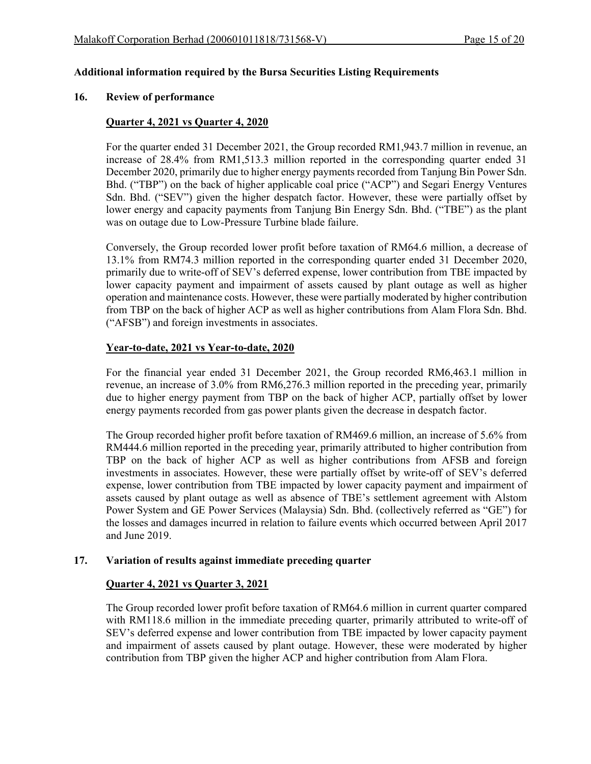#### **Additional information required by the Bursa Securities Listing Requirements**

#### **16. Review of performance**

#### **Quarter 4, 2021 vs Quarter 4, 2020**

For the quarter ended 31 December 2021, the Group recorded RM1,943.7 million in revenue, an increase of 28.4% from RM1,513.3 million reported in the corresponding quarter ended 31 December 2020, primarily due to higher energy payments recorded from Tanjung Bin Power Sdn. Bhd. ("TBP") on the back of higher applicable coal price ("ACP") and Segari Energy Ventures Sdn. Bhd. ("SEV") given the higher despatch factor. However, these were partially offset by lower energy and capacity payments from Tanjung Bin Energy Sdn. Bhd. ("TBE") as the plant was on outage due to Low-Pressure Turbine blade failure.

Conversely, the Group recorded lower profit before taxation of RM64.6 million, a decrease of 13.1% from RM74.3 million reported in the corresponding quarter ended 31 December 2020, primarily due to write-off of SEV's deferred expense, lower contribution from TBE impacted by lower capacity payment and impairment of assets caused by plant outage as well as higher operation and maintenance costs. However, these were partially moderated by higher contribution from TBP on the back of higher ACP as well as higher contributions from Alam Flora Sdn. Bhd. ("AFSB") and foreign investments in associates.

#### **Year-to-date, 2021 vs Year-to-date, 2020**

For the financial year ended 31 December 2021, the Group recorded RM6,463.1 million in revenue, an increase of 3.0% from RM6,276.3 million reported in the preceding year, primarily due to higher energy payment from TBP on the back of higher ACP, partially offset by lower energy payments recorded from gas power plants given the decrease in despatch factor.

The Group recorded higher profit before taxation of RM469.6 million, an increase of 5.6% from RM444.6 million reported in the preceding year, primarily attributed to higher contribution from TBP on the back of higher ACP as well as higher contributions from AFSB and foreign investments in associates. However, these were partially offset by write-off of SEV's deferred expense, lower contribution from TBE impacted by lower capacity payment and impairment of assets caused by plant outage as well as absence of TBE's settlement agreement with Alstom Power System and GE Power Services (Malaysia) Sdn. Bhd. (collectively referred as "GE") for the losses and damages incurred in relation to failure events which occurred between April 2017 and June 2019.

#### **17. Variation of results against immediate preceding quarter**

#### **Quarter 4, 2021 vs Quarter 3, 2021**

The Group recorded lower profit before taxation of RM64.6 million in current quarter compared with RM118.6 million in the immediate preceding quarter, primarily attributed to write-off of SEV's deferred expense and lower contribution from TBE impacted by lower capacity payment and impairment of assets caused by plant outage. However, these were moderated by higher contribution from TBP given the higher ACP and higher contribution from Alam Flora.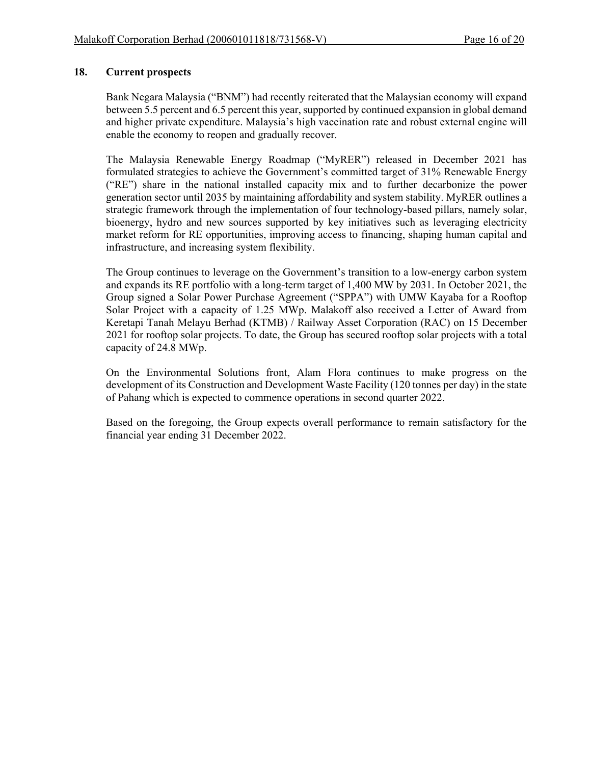#### **18. Current prospects**

Bank Negara Malaysia ("BNM") had recently reiterated that the Malaysian economy will expand between 5.5 percent and 6.5 percent this year, supported by continued expansion in global demand and higher private expenditure. Malaysia's high vaccination rate and robust external engine will enable the economy to reopen and gradually recover.

The Malaysia Renewable Energy Roadmap ("MyRER") released in December 2021 has formulated strategies to achieve the Government's committed target of 31% Renewable Energy ("RE") share in the national installed capacity mix and to further decarbonize the power generation sector until 2035 by maintaining affordability and system stability. MyRER outlines a strategic framework through the implementation of four technology-based pillars, namely solar, bioenergy, hydro and new sources supported by key initiatives such as leveraging electricity market reform for RE opportunities, improving access to financing, shaping human capital and infrastructure, and increasing system flexibility.

The Group continues to leverage on the Government's transition to a low-energy carbon system and expands its RE portfolio with a long-term target of 1,400 MW by 2031. In October 2021, the Group signed a Solar Power Purchase Agreement ("SPPA") with UMW Kayaba for a Rooftop Solar Project with a capacity of 1.25 MWp. Malakoff also received a Letter of Award from Keretapi Tanah Melayu Berhad (KTMB) / Railway Asset Corporation (RAC) on 15 December 2021 for rooftop solar projects. To date, the Group has secured rooftop solar projects with a total capacity of 24.8 MWp.

On the Environmental Solutions front, Alam Flora continues to make progress on the development of its Construction and Development Waste Facility (120 tonnes per day) in the state of Pahang which is expected to commence operations in second quarter 2022.

Based on the foregoing, the Group expects overall performance to remain satisfactory for the financial year ending 31 December 2022.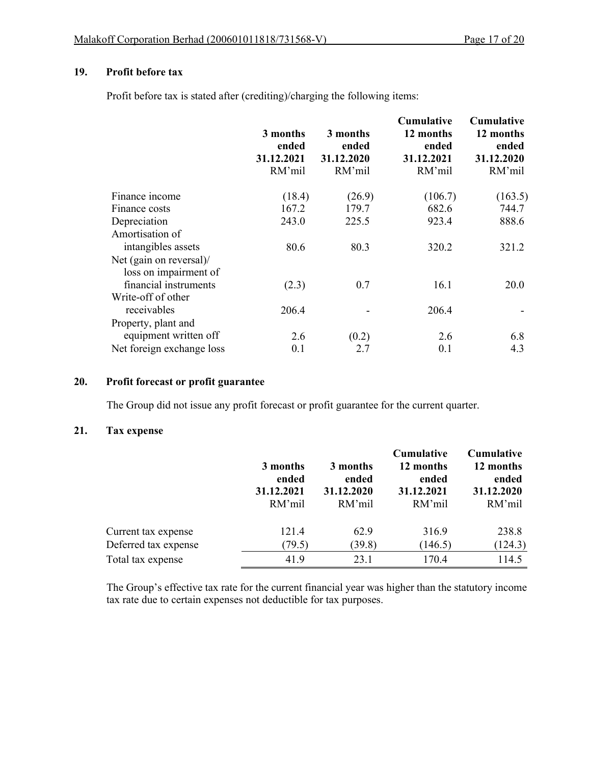#### **19. Profit before tax**

Profit before tax is stated after (crediting)/charging the following items:

|                           | 3 months<br>ended<br>31.12.2021<br>RM'mil | 3 months<br>ended<br>31.12.2020<br>RM'mil | <b>Cumulative</b><br>12 months<br>ended<br>31.12.2021<br>RM'mil | <b>Cumulative</b><br>12 months<br>ended<br>31.12.2020<br>RM'mil |
|---------------------------|-------------------------------------------|-------------------------------------------|-----------------------------------------------------------------|-----------------------------------------------------------------|
| Finance income            | (18.4)                                    | (26.9)                                    | (106.7)                                                         | (163.5)                                                         |
| Finance costs             | 167.2                                     | 179.7                                     | 682.6                                                           | 744.7                                                           |
| Depreciation              | 243.0                                     | 225.5                                     | 923.4                                                           | 888.6                                                           |
| Amortisation of           |                                           |                                           |                                                                 |                                                                 |
| intangibles assets        | 80.6                                      | 80.3                                      | 320.2                                                           | 321.2                                                           |
| Net (gain on reversal)/   |                                           |                                           |                                                                 |                                                                 |
| loss on impairment of     |                                           |                                           |                                                                 |                                                                 |
| financial instruments     | (2.3)                                     | 0.7                                       | 16.1                                                            | 20.0                                                            |
| Write-off of other        |                                           |                                           |                                                                 |                                                                 |
| receivables               | 206.4                                     |                                           | 206.4                                                           |                                                                 |
| Property, plant and       |                                           |                                           |                                                                 |                                                                 |
| equipment written off     | 2.6                                       | (0.2)                                     | 2.6                                                             | 6.8                                                             |
| Net foreign exchange loss | 0.1                                       | 2.7                                       | 0.1                                                             | 4.3                                                             |

#### **20. Profit forecast or profit guarantee**

The Group did not issue any profit forecast or profit guarantee for the current quarter.

## **21. Tax expense**

|                      | 3 months<br>ended<br>31.12.2021<br>RM'mil | 3 months<br>ended<br>31.12.2020<br>RM'mil | <b>Cumulative</b><br>12 months<br>ended<br>31.12.2021<br>RM'mil | Cumulative<br>12 months<br>ended<br>31.12.2020<br>RM'mil |
|----------------------|-------------------------------------------|-------------------------------------------|-----------------------------------------------------------------|----------------------------------------------------------|
| Current tax expense  | 121.4                                     | 62.9                                      | 316.9                                                           | 238.8                                                    |
| Deferred tax expense | (79.5)                                    | (39.8)                                    | (146.5)                                                         | (124.3)                                                  |
| Total tax expense    | 41.9                                      | 23.1                                      | 170.4                                                           | 114.5                                                    |

The Group's effective tax rate for the current financial year was higher than the statutory income tax rate due to certain expenses not deductible for tax purposes.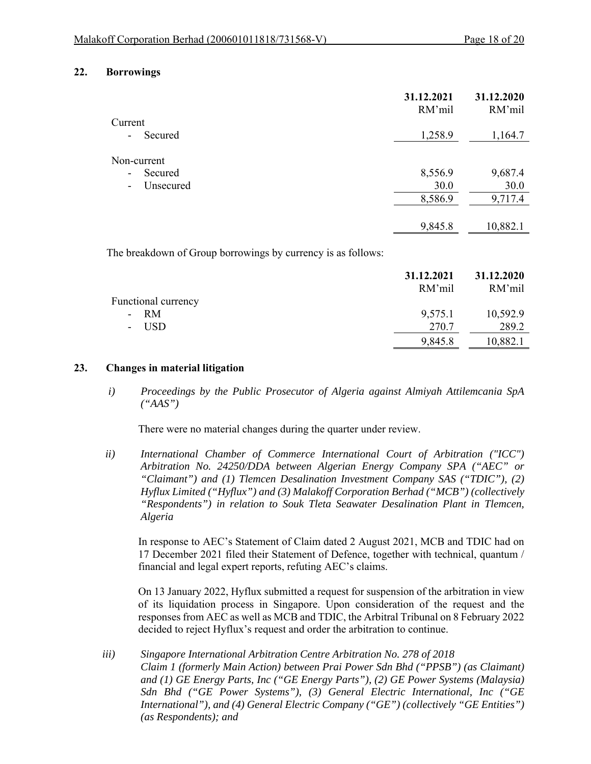#### **22. Borrowings**

|                                           | 31.12.2021<br>RM'mil | 31.12.2020<br>RM'mil |
|-------------------------------------------|----------------------|----------------------|
| Current                                   |                      |                      |
| Secured<br>$\overline{\phantom{a}}$       | 1,258.9              | 1,164.7              |
| Non-current                               |                      |                      |
| Secured<br>$\overline{\phantom{a}}$       | 8,556.9              | 9,687.4              |
| Unsecured<br>$\qquad \qquad \blacksquare$ | 30.0                 | 30.0                 |
|                                           | 8,586.9              | 9,717.4              |
|                                           | 9,845.8              | 10,882.1             |
|                                           |                      |                      |

The breakdown of Group borrowings by currency is as follows:

|                     | 31.12.2021 | 31.12.2020 |
|---------------------|------------|------------|
|                     | RM'mil     | RM'mil     |
| Functional currency |            |            |
| $- RM$              | 9,575.1    | 10,592.9   |
| - USD               | 270.7      | 289.2      |
|                     | 9,845.8    | 10,882.1   |

#### **23. Changes in material litigation**

*i) Proceedings by the Public Prosecutor of Algeria against Almiyah Attilemcania SpA ("AAS")* 

There were no material changes during the quarter under review.

*ii) International Chamber of Commerce International Court of Arbitration ("ICC") Arbitration No. 24250/DDA between Algerian Energy Company SPA ("AEC" or "Claimant") and (1) Tlemcen Desalination Investment Company SAS ("TDIC"), (2) Hyflux Limited ("Hyflux") and (3) Malakoff Corporation Berhad ("MCB") (collectively "Respondents") in relation to Souk Tleta Seawater Desalination Plant in Tlemcen, Algeria* 

In response to AEC's Statement of Claim dated 2 August 2021, MCB and TDIC had on 17 December 2021 filed their Statement of Defence, together with technical, quantum / financial and legal expert reports, refuting AEC's claims.

On 13 January 2022, Hyflux submitted a request for suspension of the arbitration in view of its liquidation process in Singapore. Upon consideration of the request and the responses from AEC as well as MCB and TDIC, the Arbitral Tribunal on 8 February 2022 decided to reject Hyflux's request and order the arbitration to continue.

*iii) Singapore International Arbitration Centre Arbitration No. 278 of 2018 Claim 1 (formerly Main Action) between Prai Power Sdn Bhd ("PPSB") (as Claimant) and (1) GE Energy Parts, Inc ("GE Energy Parts"), (2) GE Power Systems (Malaysia) Sdn Bhd ("GE Power Systems"), (3) General Electric International, Inc ("GE International"), and (4) General Electric Company ("GE") (collectively "GE Entities") (as Respondents); and*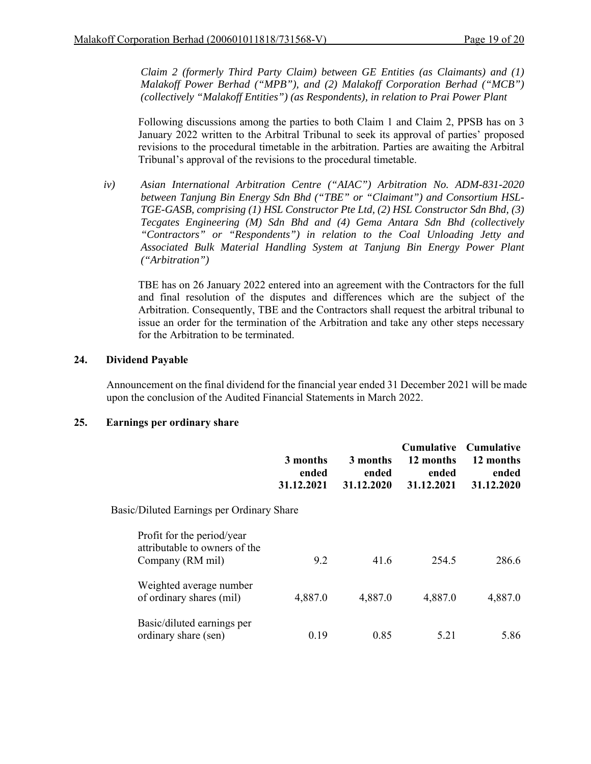*Claim 2 (formerly Third Party Claim) between GE Entities (as Claimants) and (1) Malakoff Power Berhad ("MPB"), and (2) Malakoff Corporation Berhad ("MCB") (collectively "Malakoff Entities") (as Respondents), in relation to Prai Power Plant* 

Following discussions among the parties to both Claim 1 and Claim 2, PPSB has on 3 January 2022 written to the Arbitral Tribunal to seek its approval of parties' proposed revisions to the procedural timetable in the arbitration. Parties are awaiting the Arbitral Tribunal's approval of the revisions to the procedural timetable.

*iv) Asian International Arbitration Centre ("AIAC") Arbitration No. ADM-831-2020 between Tanjung Bin Energy Sdn Bhd ("TBE" or "Claimant") and Consortium HSL-TGE-GASB, comprising (1) HSL Constructor Pte Ltd, (2) HSL Constructor Sdn Bhd, (3) Tecgates Engineering (M) Sdn Bhd and (4) Gema Antara Sdn Bhd (collectively "Contractors" or "Respondents") in relation to the Coal Unloading Jetty and Associated Bulk Material Handling System at Tanjung Bin Energy Power Plant ("Arbitration")* 

TBE has on 26 January 2022 entered into an agreement with the Contractors for the full and final resolution of the disputes and differences which are the subject of the Arbitration. Consequently, TBE and the Contractors shall request the arbitral tribunal to issue an order for the termination of the Arbitration and take any other steps necessary for the Arbitration to be terminated.

#### **24. Dividend Payable**

Announcement on the final dividend for the financial year ended 31 December 2021 will be made upon the conclusion of the Audited Financial Statements in March 2022.

#### **25. Earnings per ordinary share**

|                                                                                 | 3 months<br>ended<br>31.12.2021 | 3 months<br>ended<br>31.12.2020 | <b>Cumulative</b><br>12 months<br>ended<br>31.12.2021 | <b>Cumulative</b><br>12 months<br>ended<br>31.12.2020 |
|---------------------------------------------------------------------------------|---------------------------------|---------------------------------|-------------------------------------------------------|-------------------------------------------------------|
| Basic/Diluted Earnings per Ordinary Share                                       |                                 |                                 |                                                       |                                                       |
| Profit for the period/year<br>attributable to owners of the<br>Company (RM mil) | 9.2                             | 41.6                            | 254.5                                                 | 286.6                                                 |
| Weighted average number<br>of ordinary shares (mil)                             | 4,887.0                         | 4,887.0                         | 4,887.0                                               | 4,887.0                                               |
| Basic/diluted earnings per<br>ordinary share (sen)                              | 0.19                            | 0.85                            | 5.21                                                  | 5.86                                                  |